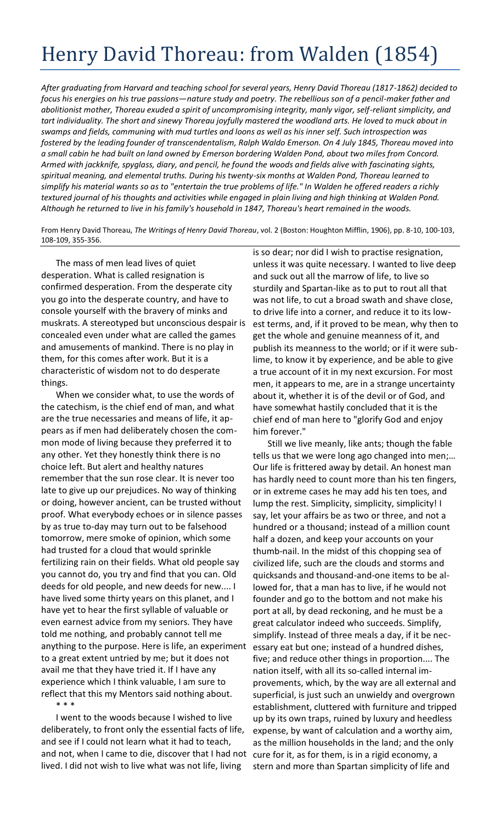## Henry David Thoreau: from Walden (1854)

*After graduating from Harvard and teaching school for several years, Henry David Thoreau (1817-1862) decided to focus his energies on his true passions—nature study and poetry. The rebellious son of a pencil-maker father and abolitionist mother, Thoreau exuded a spirit of uncompromising integrity, manly vigor, self-reliant simplicity, and tart individuality. The short and sinewy Thoreau joyfully mastered the woodland arts. He loved to muck about in swamps and fields, communing with mud turtles and loons as well as his inner self. Such introspection was fostered by the leading founder of transcendentalism, Ralph Waldo Emerson. On 4 July 1845, Thoreau moved into a small cabin he had built on land owned by Emerson bordering Walden Pond, about two miles from Concord. Armed with jackknife, spyglass, diary, and pencil, he found the woods and fields alive with fascinating sights, spiritual meaning, and elemental truths. During his twenty-six months at Walden Pond, Thoreau learned to simplify his material wants so as to "entertain the true problems of life." In Walden he offered readers a richly textured journal of his thoughts and activities while engaged in plain living and high thinking at Walden Pond. Although he returned to live in his family's household in 1847, Thoreau's heart remained in the woods.*

From Henry David Thoreau, *The Writings of Henry David Thoreau*, vol. 2 (Boston: Houghton Mifflin, 1906), pp. 8-10, 100-103, 108-109, 355-356.

The mass of men lead lives of quiet desperation. What is called resignation is confirmed desperation. From the desperate city you go into the desperate country, and have to console yourself with the bravery of minks and muskrats. A stereotyped but unconscious despair is concealed even under what are called the games and amusements of mankind. There is no play in them, for this comes after work. But it is a characteristic of wisdom not to do desperate things.

When we consider what, to use the words of the catechism, is the chief end of man, and what are the true necessaries and means of life, it appears as if men had deliberately chosen the common mode of living because they preferred it to any other. Yet they honestly think there is no choice left. But alert and healthy natures remember that the sun rose clear. It is never too late to give up our prejudices. No way of thinking or doing, however ancient, can be trusted without proof. What everybody echoes or in silence passes by as true to-day may turn out to be falsehood tomorrow, mere smoke of opinion, which some had trusted for a cloud that would sprinkle fertilizing rain on their fields. What old people say you cannot do, you try and find that you can. Old deeds for old people, and new deeds for new.... I have lived some thirty years on this planet, and I have yet to hear the first syllable of valuable or even earnest advice from my seniors. They have told me nothing, and probably cannot tell me anything to the purpose. Here is life, an experiment to a great extent untried by me; but it does not avail me that they have tried it. If I have any experience which I think valuable, I am sure to reflect that this my Mentors said nothing about. \* \* \*

I went to the woods because I wished to live deliberately, to front only the essential facts of life, and see if I could not learn what it had to teach, and not, when I came to die, discover that I had not lived. I did not wish to live what was not life, living

is so dear; nor did I wish to practise resignation, unless it was quite necessary. I wanted to live deep and suck out all the marrow of life, to live so sturdily and Spartan-like as to put to rout all that was not life, to cut a broad swath and shave close, to drive life into a corner, and reduce it to its lowest terms, and, if it proved to be mean, why then to get the whole and genuine meanness of it, and publish its meanness to the world; or if it were sublime, to know it by experience, and be able to give a true account of it in my next excursion. For most men, it appears to me, are in a strange uncertainty about it, whether it is of the devil or of God, and have somewhat hastily concluded that it is the chief end of man here to "glorify God and enjoy him forever."

Still we live meanly, like ants; though the fable tells us that we were long ago changed into men;… Our life is frittered away by detail. An honest man has hardly need to count more than his ten fingers, or in extreme cases he may add his ten toes, and lump the rest. Simplicity, simplicity, simplicity! I say, let your affairs be as two or three, and not a hundred or a thousand; instead of a million count half a dozen, and keep your accounts on your thumb-nail. In the midst of this chopping sea of civilized life, such are the clouds and storms and quicksands and thousand-and-one items to be allowed for, that a man has to live, if he would not founder and go to the bottom and not make his port at all, by dead reckoning, and he must be a great calculator indeed who succeeds. Simplify, simplify. Instead of three meals a day, if it be necessary eat but one; instead of a hundred dishes, five; and reduce other things in proportion.... The nation itself, with all its so-called internal improvements, which, by the way are all external and superficial, is just such an unwieldy and overgrown establishment, cluttered with furniture and tripped up by its own traps, ruined by luxury and heedless expense, by want of calculation and a worthy aim, as the million households in the land; and the only cure for it, as for them, is in a rigid economy, a stern and more than Spartan simplicity of life and